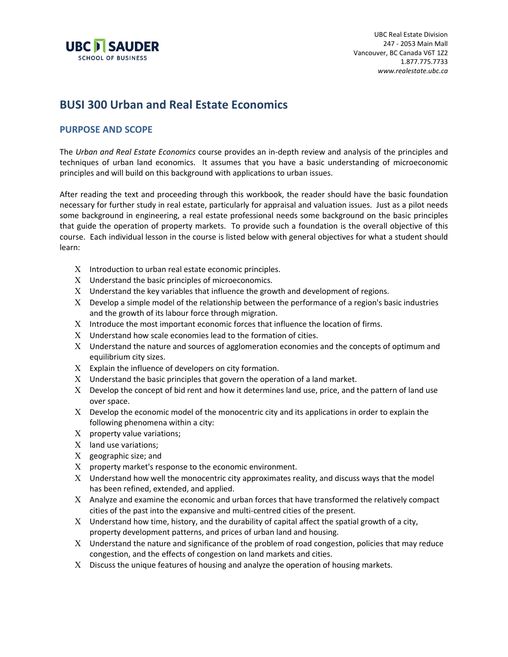

# **BUSI 300 Urban and Real Estate Economics**

#### **PURPOSE AND SCOPE**

The *Urban and Real Estate Economics* course provides an in-depth review and analysis of the principles and techniques of urban land economics. It assumes that you have a basic understanding of microeconomic principles and will build on this background with applications to urban issues.

After reading the text and proceeding through this workbook, the reader should have the basic foundation necessary for further study in real estate, particularly for appraisal and valuation issues. Just as a pilot needs some background in engineering, a real estate professional needs some background on the basic principles that guide the operation of property markets. To provide such a foundation is the overall objective of this course. Each individual lesson in the course is listed below with general objectives for what a student should learn:

- $X$  Introduction to urban real estate economic principles.
- Χ Understand the basic principles of microeconomics.
- Χ Understand the key variables that influence the growth and development of regions.
- Χ Develop a simple model of the relationship between the performance of a region's basic industries and the growth of its labour force through migration.
- Χ Introduce the most important economic forces that influence the location of firms.
- Χ Understand how scale economies lead to the formation of cities.
- Χ Understand the nature and sources of agglomeration economies and the concepts of optimum and equilibrium city sizes.
- $X$  Explain the influence of developers on city formation.
- $X$  Understand the basic principles that govern the operation of a land market.
- Χ Develop the concept of bid rent and how it determines land use, price, and the pattern of land use over space.
- Χ Develop the economic model of the monocentric city and its applications in order to explain the following phenomena within a city:
- X property value variations;
- Χ land use variations;
- Χ geographic size; and
- $X$  property market's response to the economic environment.
- Χ Understand how well the monocentric city approximates reality, and discuss ways that the model has been refined, extended, and applied.
- Χ Analyze and examine the economic and urban forces that have transformed the relatively compact cities of the past into the expansive and multi-centred cities of the present.
- $X$  Understand how time, history, and the durability of capital affect the spatial growth of a city, property development patterns, and prices of urban land and housing.
- Χ Understand the nature and significance of the problem of road congestion, policies that may reduce congestion, and the effects of congestion on land markets and cities.
- Χ Discuss the unique features of housing and analyze the operation of housing markets.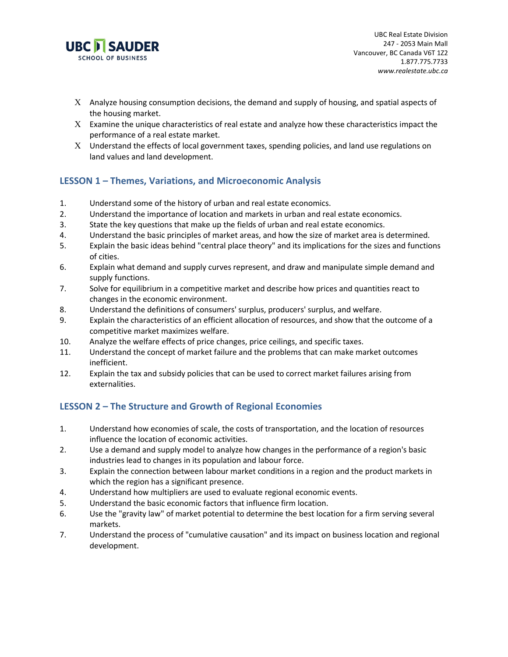

- $X$  Analyze housing consumption decisions, the demand and supply of housing, and spatial aspects of the housing market.
- $X$  Examine the unique characteristics of real estate and analyze how these characteristics impact the performance of a real estate market.
- Χ Understand the effects of local government taxes, spending policies, and land use regulations on land values and land development.

## **LESSON 1 – Themes, Variations, and Microeconomic Analysis**

- 1. Understand some of the history of urban and real estate economics.
- 2. Understand the importance of location and markets in urban and real estate economics.
- 3. State the key questions that make up the fields of urban and real estate economics.
- 4. Understand the basic principles of market areas, and how the size of market area is determined.
- 5. Explain the basic ideas behind "central place theory" and its implications for the sizes and functions of cities.
- 6. Explain what demand and supply curves represent, and draw and manipulate simple demand and supply functions.
- 7. Solve for equilibrium in a competitive market and describe how prices and quantities react to changes in the economic environment.
- 8. Understand the definitions of consumers' surplus, producers' surplus, and welfare.
- 9. Explain the characteristics of an efficient allocation of resources, and show that the outcome of a competitive market maximizes welfare.
- 10. Analyze the welfare effects of price changes, price ceilings, and specific taxes.
- 11. Understand the concept of market failure and the problems that can make market outcomes inefficient.
- 12. Explain the tax and subsidy policies that can be used to correct market failures arising from externalities.

## **LESSON 2 – The Structure and Growth of Regional Economies**

- 1. Understand how economies of scale, the costs of transportation, and the location of resources influence the location of economic activities.
- 2. Use a demand and supply model to analyze how changes in the performance of a region's basic industries lead to changes in its population and labour force.
- 3. Explain the connection between labour market conditions in a region and the product markets in which the region has a significant presence.
- 4. Understand how multipliers are used to evaluate regional economic events.
- 5. Understand the basic economic factors that influence firm location.
- 6. Use the "gravity law" of market potential to determine the best location for a firm serving several markets.
- 7. Understand the process of "cumulative causation" and its impact on business location and regional development.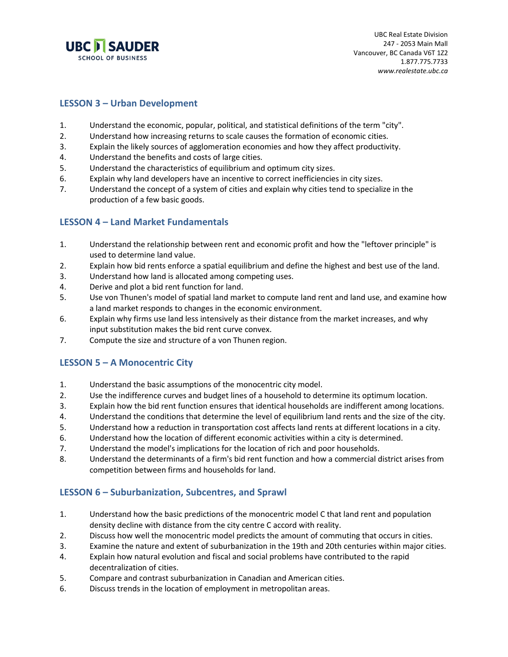

#### **LESSON 3 – Urban Development**

- 1. Understand the economic, popular, political, and statistical definitions of the term "city".
- 2. Understand how increasing returns to scale causes the formation of economic cities.
- 3. Explain the likely sources of agglomeration economies and how they affect productivity.
- 4. Understand the benefits and costs of large cities.
- 5. Understand the characteristics of equilibrium and optimum city sizes.
- 6. Explain why land developers have an incentive to correct inefficiencies in city sizes.
- 7. Understand the concept of a system of cities and explain why cities tend to specialize in the production of a few basic goods.

#### **LESSON 4 – Land Market Fundamentals**

- 1. Understand the relationship between rent and economic profit and how the "leftover principle" is used to determine land value.
- 2. Explain how bid rents enforce a spatial equilibrium and define the highest and best use of the land.
- 3. Understand how land is allocated among competing uses.
- 4. Derive and plot a bid rent function for land.
- 5. Use von Thunen's model of spatial land market to compute land rent and land use, and examine how a land market responds to changes in the economic environment.
- 6. Explain why firms use land less intensively as their distance from the market increases, and why input substitution makes the bid rent curve convex.
- 7. Compute the size and structure of a von Thunen region.

## **LESSON 5 – A Monocentric City**

- 1. Understand the basic assumptions of the monocentric city model.
- 2. Use the indifference curves and budget lines of a household to determine its optimum location.
- 3. Explain how the bid rent function ensures that identical households are indifferent among locations.
- 4. Understand the conditions that determine the level of equilibrium land rents and the size of the city.
- 5. Understand how a reduction in transportation cost affects land rents at different locations in a city.
- 6. Understand how the location of different economic activities within a city is determined.
- 7. Understand the model's implications for the location of rich and poor households.
- 8. Understand the determinants of a firm's bid rent function and how a commercial district arises from competition between firms and households for land.

#### **LESSON 6 – Suburbanization, Subcentres, and Sprawl**

- 1. Understand how the basic predictions of the monocentric model C that land rent and population density decline with distance from the city centre C accord with reality.
- 2. Discuss how well the monocentric model predicts the amount of commuting that occurs in cities.
- 3. Examine the nature and extent of suburbanization in the 19th and 20th centuries within major cities.
- 4. Explain how natural evolution and fiscal and social problems have contributed to the rapid decentralization of cities.
- 5. Compare and contrast suburbanization in Canadian and American cities.
- 6. Discuss trends in the location of employment in metropolitan areas.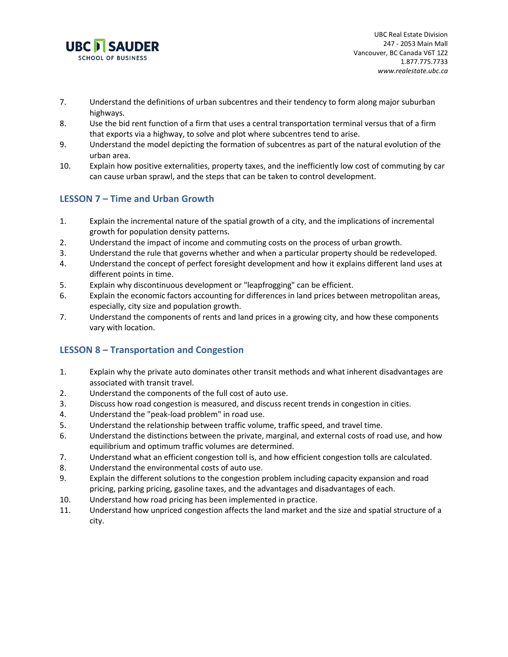

- 7. Understand the definitions of urban subcentres and their tendency to form along major suburban highways.
- 8. Use the bid rent function of a firm that uses a central transportation terminal versus that of a firm that exports via a highway, to solve and plot where subcentres tend to arise.
- 9. Understand the model depicting the formation of subcentres as part of the natural evolution of the urban area.
- 10. Explain how positive externalities, property taxes, and the inefficiently low cost of commuting by car can cause urban sprawl, and the steps that can be taken to control development.

## **LESSON 7 – Time and Urban Growth**

- 1. Explain the incremental nature of the spatial growth of a city, and the implications of incremental growth for population density patterns.
- 2. Understand the impact of income and commuting costs on the process of urban growth.
- 3. Understand the rule that governs whether and when a particular property should be redeveloped.
- 4. Understand the concept of perfect foresight development and how it explains different land uses at different points in time.
- 5. Explain why discontinuous development or "leapfrogging" can be efficient.
- 6. Explain the economic factors accounting for differences in land prices between metropolitan areas, especially, city size and population growth.
- 7. Understand the components of rents and land prices in a growing city, and how these components vary with location.

## **LESSON 8 – Transportation and Congestion**

- 1. Explain why the private auto dominates other transit methods and what inherent disadvantages are associated with transit travel.
- 2. Understand the components of the full cost of auto use.
- 3. Discuss how road congestion is measured, and discuss recent trends in congestion in cities.
- 4. Understand the "peak-load problem" in road use.
- 5. Understand the relationship between traffic volume, traffic speed, and travel time.
- 6. Understand the distinctions between the private, marginal, and external costs of road use, and how equilibrium and optimum traffic volumes are determined.
- 7. Understand what an efficient congestion toll is, and how efficient congestion tolls are calculated.
- 8. Understand the environmental costs of auto use.
- 9. Explain the different solutions to the congestion problem including capacity expansion and road pricing, parking pricing, gasoline taxes, and the advantages and disadvantages of each.
- 10. Understand how road pricing has been implemented in practice.
- 11. Understand how unpriced congestion affects the land market and the size and spatial structure of a city.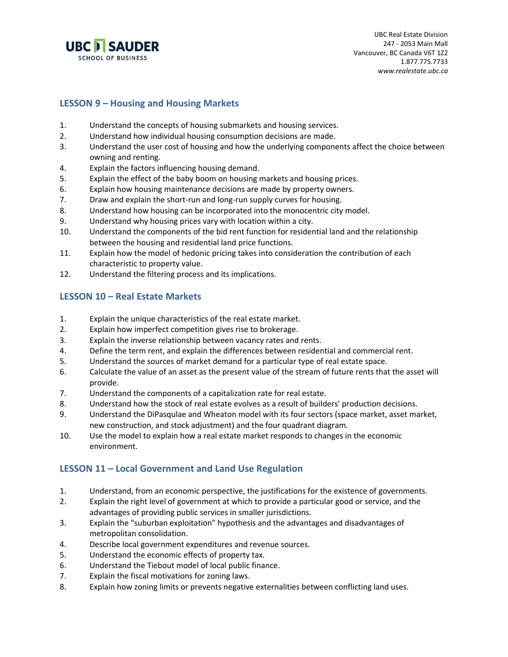

#### **LESSON 9 – Housing and Housing Markets**

- 1. Understand the concepts of housing submarkets and housing services.
- 2. Understand how individual housing consumption decisions are made.
- 3. Understand the user cost of housing and how the underlying components affect the choice between owning and renting.
- 4. Explain the factors influencing housing demand.
- 5. Explain the effect of the baby boom on housing markets and housing prices.
- 6. Explain how housing maintenance decisions are made by property owners.
- 7. Draw and explain the short-run and long-run supply curves for housing.
- 8. Understand how housing can be incorporated into the monocentric city model.
- 9. Understand why housing prices vary with location within a city.
- 10. Understand the components of the bid rent function for residential land and the relationship between the housing and residential land price functions.
- 11. Explain how the model of hedonic pricing takes into consideration the contribution of each characteristic to property value.
- 12. Understand the filtering process and its implications.

### **LESSON 10 – Real Estate Markets**

- 1. Explain the unique characteristics of the real estate market.
- 2. Explain how imperfect competition gives rise to brokerage.
- 3. Explain the inverse relationship between vacancy rates and rents.
- 4. Define the term rent, and explain the differences between residential and commercial rent.
- 5. Understand the sources of market demand for a particular type of real estate space.
- 6. Calculate the value of an asset as the present value of the stream of future rents that the asset will provide.
- 7. Understand the components of a capitalization rate for real estate.
- 8. Understand how the stock of real estate evolves as a result of builders' production decisions.
- 9. Understand the DiPasqulae and Wheaton model with its four sectors (space market, asset market, new construction, and stock adjustment) and the four quadrant diagram.
- 10. Use the model to explain how a real estate market responds to changes in the economic environment.

#### **LESSON 11 – Local Government and Land Use Regulation**

- 1. Understand, from an economic perspective, the justifications for the existence of governments.
- 2. Explain the right level of government at which to provide a particular good or service, and the advantages of providing public services in smaller jurisdictions.
- 3. Explain the "suburban exploitation" hypothesis and the advantages and disadvantages of metropolitan consolidation.
- 4. Describe local government expenditures and revenue sources.
- 5. Understand the economic effects of property tax.
- 6. Understand the Tiebout model of local public finance.
- 7. Explain the fiscal motivations for zoning laws.
- 8. Explain how zoning limits or prevents negative externalities between conflicting land uses.